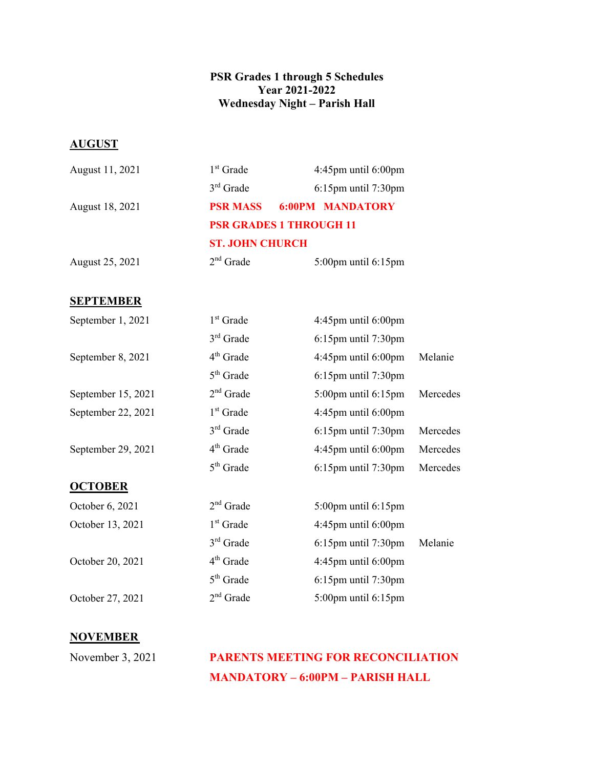## **PSR Grades 1 through 5 Schedules Year 2021-2022 Wednesday Night – Parish Hall**

## **AUGUST**

| $1st$ Grade                    | $4:45$ pm until $6:00$ pm |  |
|--------------------------------|---------------------------|--|
| $3rd$ Grade                    | $6:15$ pm until $7:30$ pm |  |
| <b>PSR MASS</b>                | <b>6:00PM MANDATORY</b>   |  |
| <b>PSR GRADES 1 THROUGH 11</b> |                           |  |
| <b>ST. JOHN CHURCH</b>         |                           |  |
| $2nd$ Grade                    | $5:00$ pm until $6:15$ pm |  |
|                                |                           |  |

## **SEPTEMBER**

| September 1, 2021  | $1st$ Grade | $4:45$ pm until $6:00$ pm |          |
|--------------------|-------------|---------------------------|----------|
|                    | $3rd$ Grade | $6:15$ pm until $7:30$ pm |          |
| September 8, 2021  | $4th$ Grade | $4:45$ pm until $6:00$ pm | Melanie  |
|                    | $5th$ Grade | $6:15$ pm until $7:30$ pm |          |
| September 15, 2021 | $2nd$ Grade | $5:00$ pm until $6:15$ pm | Mercedes |
| September 22, 2021 | $1st$ Grade | $4:45$ pm until $6:00$ pm |          |
|                    | $3rd$ Grade | $6:15$ pm until $7:30$ pm | Mercedes |
| September 29, 2021 | $4th$ Grade | $4:45$ pm until $6:00$ pm | Mercedes |
|                    | $5th$ Grade | $6:15$ pm until $7:30$ pm | Mercedes |
| <b>OCTOBER</b>     |             |                           |          |
| October 6, 2021    | $2nd$ Grade | $5:00$ pm until $6:15$ pm |          |
| October 13, 2021   | $1st$ Grade | $4:45$ pm until $6:00$ pm |          |
|                    | $3rd$ Grade | $6:15$ pm until $7:30$ pm | Melanie  |
| October 20, 2021   | $4th$ Grade | $4:45$ pm until $6:00$ pm |          |
|                    | $5th$ Grade | 6:15pm until 7:30pm       |          |
| October 27, 2021   | $2nd$ Grade | $5:00$ pm until $6:15$ pm |          |
|                    |             |                           |          |

## **NOVEMBER**

November 3, 2021 **PARENTS MEETING FOR RECONCILIATION MANDATORY – 6:00PM – PARISH HALL**